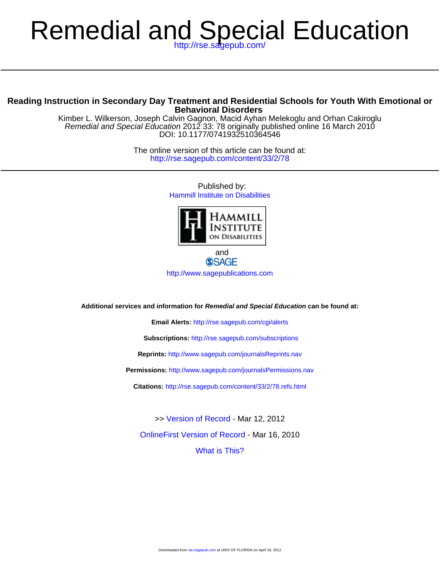# Remedial and Special Education

# **Behavioral Disorders Reading Instruction in Secondary Day Treatment and Residential Schools for Youth With Emotional or**

DOI: 10.1177/0741932510364546 Remedial and Special Education 2012 33: 78 originally published online 16 March 2010 Kimber L. Wilkerson, Joseph Calvin Gagnon, Macid Ayhan Melekoglu and Orhan Cakiroglu

> <http://rse.sagepub.com/content/33/2/78> The online version of this article can be found at:

> > Published by: [Hammill Institute on Disabilities](http://www.hammill-institute.org/)



and **SSAGE** <http://www.sagepublications.com>

**Additional services and information for Remedial and Special Education can be found at:**

**Email Alerts:** <http://rse.sagepub.com/cgi/alerts>

**Subscriptions:** <http://rse.sagepub.com/subscriptions>

**Reprints:** <http://www.sagepub.com/journalsReprints.nav>

**Permissions:** <http://www.sagepub.com/journalsPermissions.nav>

**Citations:** <http://rse.sagepub.com/content/33/2/78.refs.html>

[What is This?](http://online.sagepub.com/site/sphelp/vorhelp.xhtml) [OnlineFirst Version of Record](http://rse.sagepub.com/content/early/2010/03/16/0741932510364546.full.pdf) - Mar 16, 2010 >> [Version of Record -](http://rse.sagepub.com/content/33/2/78.full.pdf) Mar 12, 2012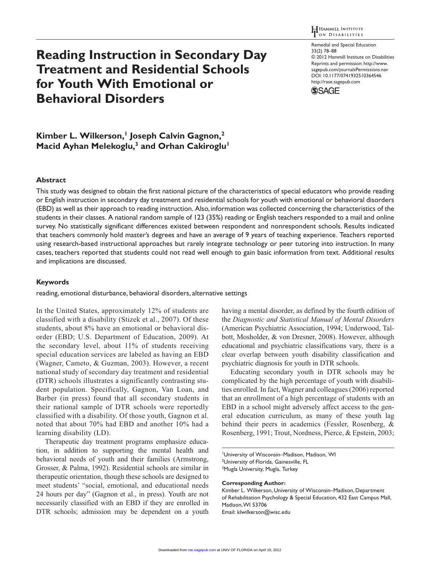# **Reading Instruction in Secondary Day Treatment and Residential Schools for Youth With Emotional or Behavioral Disorders**

Remedial and Special Education 33(2) 78–88 © 2012 Hammill Institute on Disabilities Reprints and permission: http://www. sagepub.com/journalsPermissions.nav DOI: 10.1177/0741932510364546 http://rase.sagepub.com



Kimber L. Wilkerson,<sup>1</sup> Joseph Calvin Gagnon,<sup>2</sup> **Macid Ayhan Melekoglu,<sup>3</sup> and Orhan Cakiroglu<sup>1</sup>** 

# **Abstract**

This study was designed to obtain the first national picture of the characteristics of special educators who provide reading or English instruction in secondary day treatment and residential schools for youth with emotional or behavioral disorders (EBD) as well as their approach to reading instruction. Also, information was collected concerning the characteristics of the students in their classes. A national random sample of 123 (35%) reading or English teachers responded to a mail and online survey. No statistically significant differences existed between respondent and nonrespondent schools. Results indicated that teachers commonly hold master's degrees and have an average of 9 years of teaching experience. Teachers reported using research-based instructional approaches but rarely integrate technology or peer tutoring into instruction. In many cases, teachers reported that students could not read well enough to gain basic information from text. Additional results and implications are discussed.

#### **Keywords**

reading, emotional disturbance, behavioral disorders, alternative settings

In the United States, approximately 12% of students are classified with a disability (Stizek et al., 2007). Of these students, about 8% have an emotional or behavioral disorder (EBD; U.S. Department of Education, 2009). At the secondary level, about 11% of students receiving special education services are labeled as having an EBD (Wagner, Cameto, & Guzman, 2003). However, a recent national study of secondary day treatment and residential (DTR) schools illustrates a significantly contrasting student population. Specifically, Gagnon, Van Loan, and Barber (in press) found that all secondary students in their national sample of DTR schools were reportedly classified with a disability. Of those youth, Gagnon et al. noted that about 70% had EBD and another 10% had a learning disability (LD).

Therapeutic day treatment programs emphasize education, in addition to supporting the mental health and behavioral needs of youth and their families (Armstrong, Grosser, & Palma, 1992). Residential schools are similar in therapeutic orientation, though these schools are designed to meet students' "social, emotional, and educational needs 24 hours per day" (Gagnon et al., in press). Youth are not necessarily classified with an EBD if they are enrolled in DTR schools; admission may be dependent on a youth

having a mental disorder, as defined by the fourth edition of the *Diagnostic and Statistical Manual of Mental Disorders* (American Psychiatric Association, 1994; Underwood, Talbott, Mosholder, & von Dresner, 2008). However, although educational and psychiatric classifications vary, there is a clear overlap between youth disability classification and psychiatric diagnosis for youth in DTR schools.

Educating secondary youth in DTR schools may be complicated by the high percentage of youth with disabilities enrolled. In fact, Wagner and colleagues (2006) reported that an enrollment of a high percentage of students with an EBD in a school might adversely affect access to the general education curriculum, as many of these youth lag behind their peers in academics (Fessler, Rosenberg, & Rosenberg, 1991; Trout, Nordness, Pierce, & Epstein, 2003;

1 University of Wisconsin–Madison, Madison, WI <sup>2</sup>University of Florida, Gainesville, FL <sup>3</sup>Mugla University, Mugla, Turkey

#### **Corresponding Author:**

Kimber L. Wilkerson, University of Wisconsin–Madison, Department of Rehabilitation Psychology & Special Education, 432 East Campus Mall, Madison, WI 53706 Email: klwilkerson@wisc.edu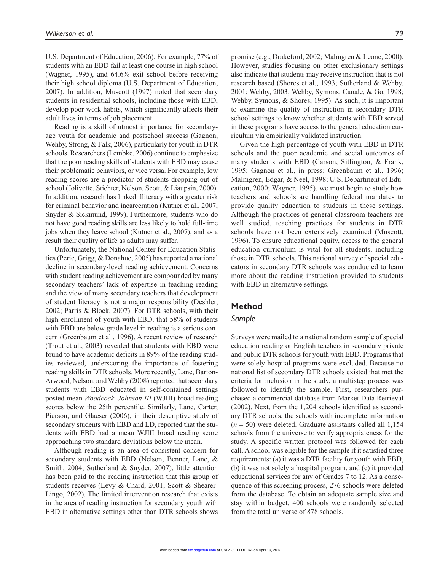U.S. Department of Education, 2006). For example, 77% of students with an EBD fail at least one course in high school (Wagner, 1995), and 64.6% exit school before receiving their high school diploma (U.S. Department of Education, 2007). In addition, Muscott (1997) noted that secondary students in residential schools, including those with EBD, develop poor work habits, which significantly affects their adult lives in terms of job placement.

Reading is a skill of utmost importance for secondaryage youth for academic and postschool success (Gagnon, Wehby, Strong, & Falk, 2006), particularly for youth in DTR schools. Researchers (Lembke, 2006) continue to emphasize that the poor reading skills of students with EBD may cause their problematic behaviors, or vice versa. For example, low reading scores are a predictor of students dropping out of school (Jolivette, Stichter, Nelson, Scott, & Liaupsin, 2000). In addition, research has linked illiteracy with a greater risk for criminal behavior and incarceration (Kutner et al., 2007; Snyder & Sickmund, 1999). Furthermore, students who do not have good reading skills are less likely to hold full-time jobs when they leave school (Kutner et al., 2007), and as a result their quality of life as adults may suffer.

Unfortunately, the National Center for Education Statistics (Perie, Grigg, & Donahue, 2005) has reported a national decline in secondary-level reading achievement. Concerns with student reading achievement are compounded by many secondary teachers' lack of expertise in teaching reading and the view of many secondary teachers that development of student literacy is not a major responsibility (Deshler, 2002; Parris & Block, 2007). For DTR schools, with their high enrollment of youth with EBD, that 58% of students with EBD are below grade level in reading is a serious concern (Greenbaum et al., 1996). A recent review of research (Trout et al., 2003) revealed that students with EBD were found to have academic deficits in 89% of the reading studies reviewed, underscoring the importance of fostering reading skills in DTR schools. More recently, Lane, Barton-Arwood, Nelson, and Wehby (2008) reported that secondary students with EBD educated in self-contained settings posted mean *Woodcock–Johnson III* (WJIII) broad reading scores below the 25th percentile. Similarly, Lane, Carter, Pierson, and Glaeser (2006), in their descriptive study of secondary students with EBD and LD, reported that the students with EBD had a mean WJIII broad reading score approaching two standard deviations below the mean.

Although reading is an area of consistent concern for secondary students with EBD (Nelson, Benner, Lane, & Smith, 2004; Sutherland & Snyder, 2007), little attention has been paid to the reading instruction that this group of students receives (Levy & Chard, 2001; Scott & Shearer-Lingo, 2002). The limited intervention research that exists in the area of reading instruction for secondary youth with EBD in alternative settings other than DTR schools shows

promise (e.g., Drakeford, 2002; Malmgren & Leone, 2000).

However, studies focusing on other exclusionary settings also indicate that students may receive instruction that is not research based (Shores et al., 1993; Sutherland & Wehby, 2001; Wehby, 2003; Wehby, Symons, Canale, & Go, 1998; Wehby, Symons, & Shores, 1995). As such, it is important to examine the quality of instruction in secondary DTR school settings to know whether students with EBD served in these programs have access to the general education curriculum via empirically validated instruction.

Given the high percentage of youth with EBD in DTR schools and the poor academic and social outcomes of many students with EBD (Carson, Sitlington, & Frank, 1995; Gagnon et al., in press; Greenbaum et al., 1996; Malmgren, Edgar, & Neel, 1998; U.S. Department of Education, 2000; Wagner, 1995), we must begin to study how teachers and schools are handling federal mandates to provide quality education to students in these settings. Although the practices of general classroom teachers are well studied, teaching practices for students in DTR schools have not been extensively examined (Muscott, 1996). To ensure educational equity, access to the general education curriculum is vital for all students, including those in DTR schools. This national survey of special educators in secondary DTR schools was conducted to learn more about the reading instruction provided to students with EBD in alternative settings.

## **Method**

## *Sample*

Surveys were mailed to a national random sample of special education reading or English teachers in secondary private and public DTR schools for youth with EBD. Programs that were solely hospital programs were excluded. Because no national list of secondary DTR schools existed that met the criteria for inclusion in the study, a multistep process was followed to identify the sample. First, researchers purchased a commercial database from Market Data Retrieval (2002). Next, from the 1,204 schools identified as secondary DTR schools, the schools with incomplete information  $(n = 50)$  were deleted. Graduate assistants called all 1,154 schools from the universe to verify appropriateness for the study. A specific written protocol was followed for each call. A school was eligible for the sample if it satisfied three requirements: (a) it was a DTR facility for youth with EBD, (b) it was not solely a hospital program, and (c) it provided educational services for any of Grades 7 to 12. As a consequence of this screening process, 276 schools were deleted from the database. To obtain an adequate sample size and stay within budget, 400 schools were randomly selected from the total universe of 878 schools.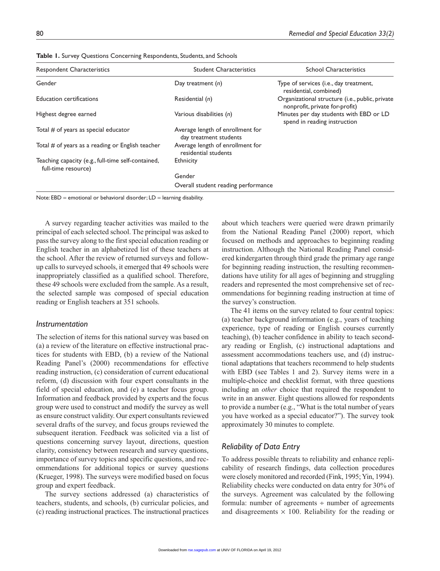| <b>Respondent Characteristics</b>                                         | <b>Student Characteristics</b>                             | <b>School Characteristics</b>                                                     |  |  |  |
|---------------------------------------------------------------------------|------------------------------------------------------------|-----------------------------------------------------------------------------------|--|--|--|
| Gender                                                                    | Day treatment $(n)$                                        | Type of services (i.e., day treatment,<br>residential, combined)                  |  |  |  |
| <b>Education certifications</b>                                           | Residential (n)                                            | Organizational structure (i.e., public, private<br>nonprofit, private for-profit) |  |  |  |
| Highest degree earned                                                     | Various disabilities (n)                                   | Minutes per day students with EBD or LD<br>spend in reading instruction           |  |  |  |
| Total # of years as special educator                                      | Average length of enrollment for<br>day treatment students |                                                                                   |  |  |  |
| Total # of years as a reading or English teacher                          | Average length of enrollment for<br>residential students   |                                                                                   |  |  |  |
| Teaching capacity (e.g., full-time self-contained,<br>full-time resource) | Ethnicity                                                  |                                                                                   |  |  |  |
|                                                                           | Gender                                                     |                                                                                   |  |  |  |
|                                                                           | Overall student reading performance                        |                                                                                   |  |  |  |

**Table 1.** Survey Questions Concerning Respondents, Students, and Schools

Note:  $EBD =$  emotional or behavioral disorder;  $LD =$  learning disability.

A survey regarding teacher activities was mailed to the principal of each selected school. The principal was asked to pass the survey along to the first special education reading or English teacher in an alphabetized list of these teachers at the school. After the review of returned surveys and followup calls to surveyed schools, it emerged that 49 schools were inappropriately classified as a qualified school. Therefore, these 49 schools were excluded from the sample. As a result, the selected sample was composed of special education reading or English teachers at 351 schools.

#### *Instrumentation*

The selection of items for this national survey was based on (a) a review of the literature on effective instructional practices for students with EBD, (b) a review of the National Reading Panel's (2000) recommendations for effective reading instruction, (c) consideration of current educational reform, (d) discussion with four expert consultants in the field of special education, and (e) a teacher focus group. Information and feedback provided by experts and the focus group were used to construct and modify the survey as well as ensure construct validity. Our expert consultants reviewed several drafts of the survey, and focus groups reviewed the subsequent iteration. Feedback was solicited via a list of questions concerning survey layout, directions, question clarity, consistency between research and survey questions, importance of survey topics and specific questions, and recommendations for additional topics or survey questions (Krueger, 1998). The surveys were modified based on focus group and expert feedback.

The survey sections addressed (a) characteristics of teachers, students, and schools, (b) curricular policies, and (c) reading instructional practices. The instructional practices about which teachers were queried were drawn primarily from the National Reading Panel (2000) report, which focused on methods and approaches to beginning reading instruction. Although the National Reading Panel considered kindergarten through third grade the primary age range for beginning reading instruction, the resulting recommendations have utility for all ages of beginning and struggling readers and represented the most comprehensive set of recommendations for beginning reading instruction at time of the survey's construction.

The 41 items on the survey related to four central topics: (a) teacher background information (e.g., years of teaching experience, type of reading or English courses currently teaching), (b) teacher confidence in ability to teach secondary reading or English, (c) instructional adaptations and assessment accommodations teachers use, and (d) instructional adaptations that teachers recommend to help students with EBD (see Tables 1 and 2). Survey items were in a multiple-choice and checklist format, with three questions including an *other* choice that required the respondent to write in an answer. Eight questions allowed for respondents to provide a number (e.g., "What is the total number of years you have worked as a special educator?"). The survey took approximately 30 minutes to complete.

# *Reliability of Data Entry*

To address possible threats to reliability and enhance replicability of research findings, data collection procedures were closely monitored and recorded (Fink, 1995; Yin, 1994). Reliability checks were conducted on data entry for 30% of the surveys. Agreement was calculated by the following formula: number of agreements  $\div$  number of agreements and disagreements  $\times$  100. Reliability for the reading or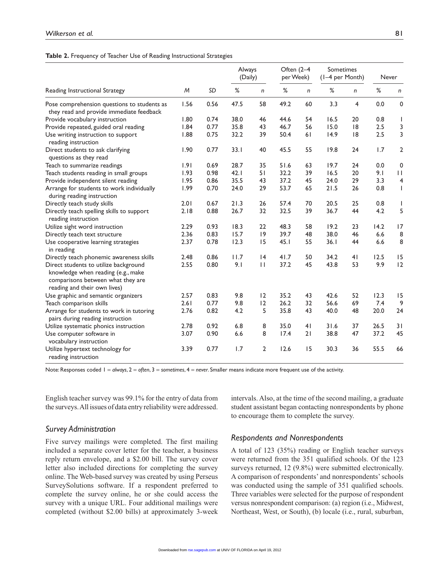#### **Table 2.** Frequency of Teacher Use of Reading Instructional Strategies

| Reading Instructional Strategy                                                                                                                   | M    | SD   | Always<br>(Daily) |                | Often (2-4<br>per Week) |                | Sometimes<br>(1-4 per Month) |                | Never |                         |
|--------------------------------------------------------------------------------------------------------------------------------------------------|------|------|-------------------|----------------|-------------------------|----------------|------------------------------|----------------|-------|-------------------------|
|                                                                                                                                                  |      |      | $\%$              | n              | $\%$                    | n              | %                            | $\mathsf{n}$   | $\%$  | $\mathsf{n}$            |
| Pose comprehension questions to students as<br>they read and provide immediate feedback                                                          | 1.56 | 0.56 | 47.5              | 58             | 49.2                    | 60             | 3.3                          | $\overline{4}$ | 0.0   | 0                       |
| Provide vocabulary instruction                                                                                                                   | 1.80 | 0.74 | 38.0              | 46             | 44.6                    | 54             | 16.5                         | 20             | 0.8   | $\mathbf{I}$            |
| Provide repeated, guided oral reading                                                                                                            | 1.84 | 0.77 | 35.8              | 43             | 46.7                    | 56             | 15.0                         | 8              | 2.5   | 3                       |
| Use writing instruction to support<br>reading instruction                                                                                        | 1.88 | 0.75 | 32.2              | 39             | 50.4                    | 61             | 14.9                         | 8              | 2.5   | 3                       |
| Direct students to ask clarifying<br>questions as they read                                                                                      | 1.90 | 0.77 | 33.1              | 40             | 45.5                    | 55             | 19.8                         | 24             | 1.7   | $\mathbf 2$             |
| Teach to summarize readings                                                                                                                      | 1.91 | 0.69 | 28.7              | 35             | 51.6                    | 63             | 19.7                         | 24             | 0.0   | 0                       |
| Teach students reading in small groups                                                                                                           | 1.93 | 0.98 | 42.1              | 51             | 32.2                    | 39             | 16.5                         | 20             | 9.1   | $\mathbf{H}$            |
| Provide independent silent reading                                                                                                               | 1.95 | 0.86 | 35.5              | 43             | 37.2                    | 45             | 24.0                         | 29             | 3.3   | $\overline{\mathbf{4}}$ |
| Arrange for students to work individually<br>during reading instruction                                                                          | 1.99 | 0.70 | 24.0              | 29             | 53.7                    | 65             | 21.5                         | 26             | 0.8   | $\mathbf{I}$            |
| Directly teach study skills                                                                                                                      | 2.01 | 0.67 | 21.3              | 26             | 57.4                    | 70             | 20.5                         | 25             | 0.8   | $\mathbf{I}$            |
| Directly teach spelling skills to support<br>reading instruction                                                                                 | 2.18 | 0.88 | 26.7              | 32             | 32.5                    | 39             | 36.7                         | 44             | 4.2   | 5                       |
| Utilize sight word instruction                                                                                                                   | 2.29 | 0.93 | 18.3              | 22             | 48.3                    | 58             | 19.2                         | 23             | 14.2  | 17                      |
| Directly teach text structure                                                                                                                    | 2.36 | 0.83 | 15.7              | 9              | 39.7                    | 48             | 38.0                         | 46             | 6.6   | 8                       |
| Use cooperative learning strategies<br>in reading                                                                                                | 2.37 | 0.78 | 12.3              | 15             | 45.1                    | 55             | 36.1                         | 44             | 6.6   | 8                       |
| Directly teach phonemic awareness skills                                                                                                         | 2.48 | 0.86 | 11.7              | 4              | 41.7                    | 50             | 34.2                         | 41             | 12.5  | 15                      |
| Direct students to utilize background<br>knowledge when reading (e.g., make<br>comparisons between what they are<br>reading and their own lives) | 2.55 | 0.80 | 9.1               | $\mathbf{H}$   | 37.2                    | 45             | 43.8                         | 53             | 9.9   | 12                      |
| Use graphic and semantic organizers                                                                                                              | 2.57 | 0.83 | 9.8               | 12             | 35.2                    | 43             | 42.6                         | 52             | 12.3  | 15                      |
| Teach comparison skills                                                                                                                          | 2.61 | 0.77 | 9.8               | 12             | 26.2                    | 32             | 56.6                         | 69             | 7.4   | 9                       |
| Arrange for students to work in tutoring<br>pairs during reading instruction                                                                     | 2.76 | 0.82 | 4.2               | 5              | 35.8                    | 43             | 40.0                         | 48             | 20.0  | 24                      |
| Utilize systematic phonics instruction                                                                                                           | 2.78 | 0.92 | 6.8               | 8              | 35.0                    | 4 <sub>1</sub> | 31.6                         | 37             | 26.5  | 31                      |
| Use computer software in<br>vocabulary instruction                                                                                               | 3.07 | 0.90 | 6.6               | 8              | 17.4                    | 21             | 38.8                         | 47             | 37.2  | 45                      |
| Utilize hypertext technology for<br>reading instruction                                                                                          | 3.39 | 0.77 | 1.7               | $\overline{2}$ | 12.6                    | 15             | 30.3                         | 36             | 55.5  | 66                      |

Note: Responses coded 1 = *always*, 2 = *often*, 3 = *sometimes*, 4 = *never*. Smaller means indicate more frequent use of the activity.

English teacher survey was 99.1% for the entry of data from the surveys. All issues of data entry reliability were addressed.

#### *Survey Administration*

Five survey mailings were completed. The first mailing included a separate cover letter for the teacher, a business reply return envelope, and a \$2.00 bill. The survey cover letter also included directions for completing the survey online. The Web-based survey was created by using Perseus SurveySolutions software. If a respondent preferred to complete the survey online, he or she could access the survey with a unique URL. Four additional mailings were completed (without \$2.00 bills) at approximately 3-week

intervals. Also, at the time of the second mailing, a graduate student assistant began contacting nonrespondents by phone to encourage them to complete the survey.

#### *Respondents and Nonrespondents*

A total of 123 (35%) reading or English teacher surveys were returned from the 351 qualified schools. Of the 123 surveys returned, 12 (9.8%) were submitted electronically. A comparison of respondents' and nonrespondents' schools was conducted using the sample of 351 qualified schools. Three variables were selected for the purpose of respondent versus nonrespondent comparison: (a) region (i.e., Midwest, Northeast, West, or South), (b) locale (i.e., rural, suburban,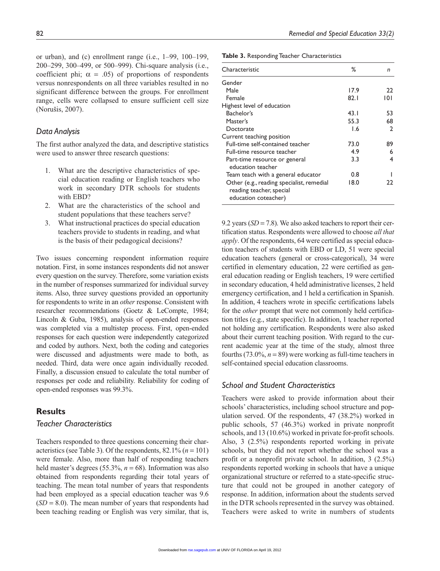or urban), and (c) enrollment range (i.e., 1–99, 100–199, 200–299, 300–499, or 500–999). Chi-square analysis (i.e., coefficient phi;  $\alpha = .05$ ) of proportions of respondents versus nonrespondents on all three variables resulted in no significant difference between the groups. For enrollment range, cells were collapsed to ensure sufficient cell size (Norušis, 2007).

#### *Data Analysis*

The first author analyzed the data, and descriptive statistics were used to answer three research questions:

- 1. What are the descriptive characteristics of special education reading or English teachers who work in secondary DTR schools for students with EBD?
- 2. What are the characteristics of the school and student populations that these teachers serve?
- 3. What instructional practices do special education teachers provide to students in reading, and what is the basis of their pedagogical decisions?

Two issues concerning respondent information require notation. First, in some instances respondents did not answer every question on the survey. Therefore, some variation exists in the number of responses summarized for individual survey items. Also, three survey questions provided an opportunity for respondents to write in an *other* response. Consistent with researcher recommendations (Goetz & LeCompte, 1984; Lincoln & Guba, 1985), analysis of open-ended responses was completed via a multistep process. First, open-ended responses for each question were independently categorized and coded by authors. Next, both the coding and categories were discussed and adjustments were made to both, as needed. Third, data were once again individually recoded. Finally, a discussion ensued to calculate the total number of responses per code and reliability. Reliability for coding of open-ended responses was 99.3%.

# **Results**

#### *Teacher Characteristics*

Teachers responded to three questions concerning their characteristics (see Table 3). Of the respondents,  $82.1\%$  ( $n = 101$ ) were female. Also, more than half of responding teachers held master's degrees (55.3%,  $n = 68$ ). Information was also obtained from respondents regarding their total years of teaching. The mean total number of years that respondents had been employed as a special education teacher was 9.6  $(SD = 8.0)$ . The mean number of years that respondents had been teaching reading or English was very similar, that is,

**Table 3.** Responding Teacher Characteristics

| Characteristic                                                                                | ℅    | n            |
|-----------------------------------------------------------------------------------------------|------|--------------|
| Gender                                                                                        |      |              |
| Male                                                                                          | 17.9 | 22           |
| Female                                                                                        | 82.1 | 101          |
| Highest level of education                                                                    |      |              |
| Bachelor's                                                                                    | 43.1 | 53           |
| Master's                                                                                      | 55.3 | 68           |
| Doctorate                                                                                     | I.6  | $\mathbf{c}$ |
| Current teaching position                                                                     |      |              |
| Full-time self-contained teacher                                                              | 73.0 | 89           |
| Full-time resource teacher                                                                    | 4.9  | 6            |
| Part-time resource or general<br>education teacher                                            | 3.3  | 4            |
| Team teach with a general educator                                                            | 0.8  |              |
| Other (e.g., reading specialist, remedial<br>reading teacher, special<br>education coteacher) | 18.0 | 22           |

9.2 years (*SD* = 7.8). We also asked teachers to report their certification status. Respondents were allowed to choose *all that apply*. Of the respondents, 64 were certified as special education teachers of students with EBD or LD, 51 were special education teachers (general or cross-categorical), 34 were certified in elementary education, 22 were certified as general education reading or English teachers, 19 were certified in secondary education, 4 held administrative licenses, 2 held emergency certification, and 1 held a certification in Spanish. In addition, 4 teachers wrote in specific certifications labels for the *other* prompt that were not commonly held certification titles (e.g., state specific). In addition, 1 teacher reported not holding any certification. Respondents were also asked about their current teaching position. With regard to the current academic year at the time of the study, almost three fourths (73.0%,  $n = 89$ ) were working as full-time teachers in self-contained special education classrooms.

# *School and Student Characteristics*

Teachers were asked to provide information about their schools' characteristics, including school structure and population served. Of the respondents, 47 (38.2%) worked in public schools, 57 (46.3%) worked in private nonprofit schools, and 13 (10.6%) worked in private for-profit schools. Also, 3 (2.5%) respondents reported working in private schools, but they did not report whether the school was a profit or a nonprofit private school. In addition, 3 (2.5%) respondents reported working in schools that have a unique organizational structure or referred to a state-specific structure that could not be grouped in another category of response. In addition, information about the students served in the DTR schools represented in the survey was obtained. Teachers were asked to write in numbers of students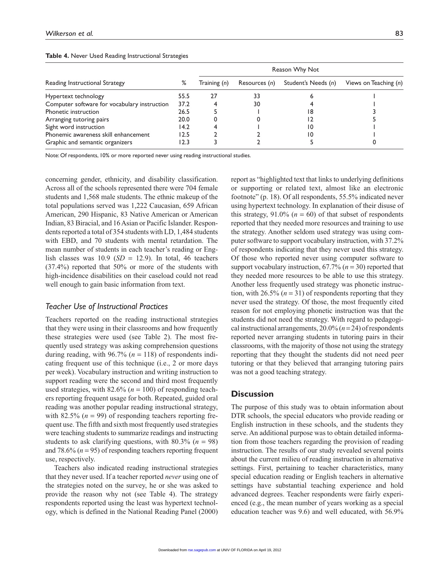| Reading Instructional Strategy               |       | Reason Why Not |               |                     |                         |  |  |
|----------------------------------------------|-------|----------------|---------------|---------------------|-------------------------|--|--|
|                                              | %     | Training (n)   | Resources (n) | Student's Needs (n) | Views on Teaching $(n)$ |  |  |
| Hypertext technology                         | 55.5  | 27             | 33            |                     |                         |  |  |
| Computer software for vocabulary instruction | 37.2  |                | 30            |                     |                         |  |  |
| Phonetic instruction                         | 26.5  |                |               | 18                  |                         |  |  |
| Arranging tutoring pairs                     | 20.0  |                |               |                     |                         |  |  |
| Sight word instruction                       | 14.2  |                |               | 10                  |                         |  |  |
| Phonemic awareness skill enhancement         | 12.5  |                |               | 10                  |                         |  |  |
| Graphic and semantic organizers              | l 2.3 |                |               |                     |                         |  |  |

#### **Table 4.** Never Used Reading Instructional Strategies

Note: Of respondents, 10% or more reported never using reading instructional studies.

concerning gender, ethnicity, and disability classification. Across all of the schools represented there were 704 female students and 1,568 male students. The ethnic makeup of the total populations served was 1,222 Caucasian, 659 African American, 290 Hispanic, 83 Native American or American Indian, 83 Biracial, and 16 Asian or Pacific Islander. Respondents reported a total of 354 students with LD, 1,484 students with EBD, and 70 students with mental retardation. The mean number of students in each teacher's reading or English classes was  $10.9$  (*SD* = 12.9). In total, 46 teachers (37.4%) reported that 50% or more of the students with high-incidence disabilities on their caseload could not read well enough to gain basic information from text.

#### *Teacher Use of Instructional Practices*

Teachers reported on the reading instructional strategies that they were using in their classrooms and how frequently these strategies were used (see Table 2). The most frequently used strategy was asking comprehension questions during reading, with  $96.7\%$  ( $n = 118$ ) of respondents indicating frequent use of this technique (i.e., 2 or more days per week). Vocabulary instruction and writing instruction to support reading were the second and third most frequently used strategies, with  $82.6\%$  ( $n = 100$ ) of responding teachers reporting frequent usage for both. Repeated, guided oral reading was another popular reading instructional strategy, with 82.5%  $(n = 99)$  of responding teachers reporting frequent use. The fifth and sixth most frequently used strategies were teaching students to summarize readings and instructing students to ask clarifying questions, with  $80.3\%$  ( $n = 98$ ) and 78.6% (*n* = 95) of responding teachers reporting frequent use, respectively.

Teachers also indicated reading instructional strategies that they never used. If a teacher reported *never* using one of the strategies noted on the survey, he or she was asked to provide the reason why not (see Table 4). The strategy respondents reported using the least was hypertext technology, which is defined in the National Reading Panel (2000)

report as "highlighted text that links to underlying definitions or supporting or related text, almost like an electronic footnote" (p. 18). Of all respondents, 55.5% indicated never using hypertext technology. In explanation of their disuse of this strategy,  $91.0\%$  ( $n = 60$ ) of that subset of respondents reported that they needed more resources and training to use the strategy. Another seldom used strategy was using computer software to support vocabulary instruction, with 37.2% of respondents indicating that they never used this strategy. Of those who reported never using computer software to support vocabulary instruction, 67.7% (*n* = 30) reported that they needed more resources to be able to use this strategy. Another less frequently used strategy was phonetic instruction, with 26.5%  $(n = 31)$  of respondents reporting that they never used the strategy. Of those, the most frequently cited reason for not employing phonetic instruction was that the students did not need the strategy. With regard to pedagogical instructional arrangements, 20.0% (*n* = 24) of respondents reported never arranging students in tutoring pairs in their classrooms, with the majority of those not using the strategy reporting that they thought the students did not need peer tutoring or that they believed that arranging tutoring pairs was not a good teaching strategy.

# **Discussion**

The purpose of this study was to obtain information about DTR schools, the special educators who provide reading or English instruction in these schools, and the students they serve. An additional purpose was to obtain detailed information from those teachers regarding the provision of reading instruction. The results of our study revealed several points about the current milieu of reading instruction in alternative settings. First, pertaining to teacher characteristics, many special education reading or English teachers in alternative settings have substantial teaching experience and hold advanced degrees. Teacher respondents were fairly experienced (e.g., the mean number of years working as a special education teacher was 9.6) and well educated, with 56.9%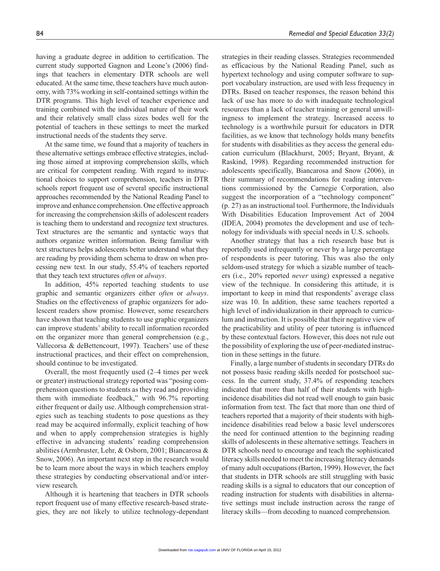having a graduate degree in addition to certification. The current study supported Gagnon and Leone's (2006) findings that teachers in elementary DTR schools are well educated. At the same time, these teachers have much autonomy, with 73% working in self-contained settings within the DTR programs. This high level of teacher experience and training combined with the individual nature of their work and their relatively small class sizes bodes well for the potential of teachers in these settings to meet the marked instructional needs of the students they serve.

At the same time, we found that a majority of teachers in these alternative settings embrace effective strategies, including those aimed at improving comprehension skills, which are critical for competent reading. With regard to instructional choices to support comprehension, teachers in DTR schools report frequent use of several specific instructional approaches recommended by the National Reading Panel to improve and enhance comprehension. One effective approach for increasing the comprehension skills of adolescent readers is teaching them to understand and recognize text structures. Text structures are the semantic and syntactic ways that authors organize written information. Being familiar with text structures helps adolescents better understand what they are reading by providing them schema to draw on when processing new text. In our study, 55.4% of teachers reported that they teach text structures *often* or *always*.

In addition, 45% reported teaching students to use graphic and semantic organizers either *often* or *always*. Studies on the effectiveness of graphic organizers for adolescent readers show promise. However, some researchers have shown that teaching students to use graphic organizers can improve students' ability to recall information recorded on the organizer more than general comprehension (e.g., Vallecorsa & deBettencourt, 1997). Teachers' use of these instructional practices, and their effect on comprehension, should continue to be investigated.

Overall, the most frequently used (2–4 times per week or greater) instructional strategy reported was "posing comprehension questions to students as they read and providing them with immediate feedback," with 96.7% reporting either frequent or daily use. Although comprehension strategies such as teaching students to pose questions as they read may be acquired informally, explicit teaching of how and when to apply comprehension strategies is highly effective in advancing students' reading comprehension abilities (Armbruster, Lehr, & Osborn, 2001; Biancarosa & Snow, 2006). An important next step in the research would be to learn more about the ways in which teachers employ these strategies by conducting observational and/or interview research*.*

Although it is heartening that teachers in DTR schools report frequent use of many effective research-based strategies, they are not likely to utilize technology-dependant strategies in their reading classes. Strategies recommended as efficacious by the National Reading Panel, such as hypertext technology and using computer software to support vocabulary instruction, are used with less frequency in DTRs. Based on teacher responses, the reason behind this lack of use has more to do with inadequate technological resources than a lack of teacher training or general unwillingness to implement the strategy. Increased access to technology is a worthwhile pursuit for educators in DTR facilities, as we know that technology holds many benefits for students with disabilities as they access the general education curriculum (Blackhurst, 2005; Bryant, Bryant, & Raskind, 1998). Regarding recommended instruction for adolescents specifically, Biancarosa and Snow (2006), in their summary of recommendations for reading interventions commissioned by the Carnegie Corporation, also suggest the incorporation of a "technology component" (p. 27) as an instructional tool. Furthermore, the Individuals With Disabilities Education Improvement Act of 2004 (IDEA, 2004) promotes the development and use of technology for individuals with special needs in U.S. schools.

Another strategy that has a rich research base but is reportedly used infrequently or never by a large percentage of respondents is peer tutoring. This was also the only seldom-used strategy for which a sizable number of teachers (i.e., 20% reported *never* using) expressed a negative view of the technique. In considering this attitude, it is important to keep in mind that respondents' average class size was 10. In addition, these same teachers reported a high level of individualization in their approach to curriculum and instruction. It is possible that their negative view of the practicability and utility of peer tutoring is influenced by these contextual factors. However, this does not rule out the possibility of exploring the use of peer-mediated instruction in these settings in the future.

Finally, a large number of students in secondary DTRs do not possess basic reading skills needed for postschool success. In the current study, 37.4% of responding teachers indicated that more than half of their students with highincidence disabilities did not read well enough to gain basic information from text. The fact that more than one third of teachers reported that a majority of their students with highincidence disabilities read below a basic level underscores the need for continued attention to the beginning reading skills of adolescents in these alternative settings. Teachers in DTR schools need to encourage and teach the sophisticated literacy skills needed to meet the increasing literacy demands of many adult occupations (Barton, 1999). However, the fact that students in DTR schools are still struggling with basic reading skills is a signal to educators that our conception of reading instruction for students with disabilities in alternative settings must include instruction across the range of literacy skills—from decoding to nuanced comprehension.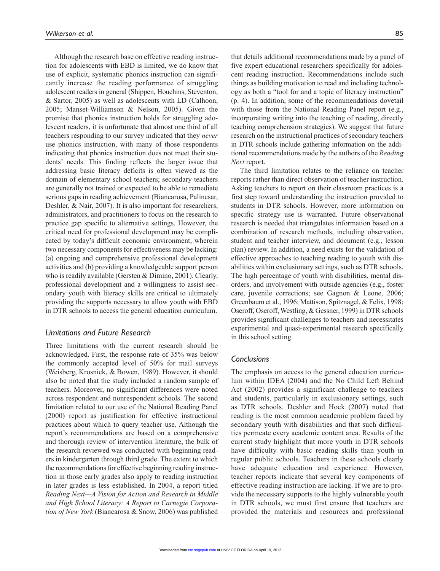Although the research base on effective reading instruction for adolescents with EBD is limited, we do know that use of explicit, systematic phonics instruction can significantly increase the reading performance of struggling adolescent readers in general (Shippen, Houchins, Steventon, & Sartor, 2005) as well as adolescents with LD (Calhoon, 2005; Manset-Williamson & Nelson, 2005). Given the promise that phonics instruction holds for struggling adolescent readers, it is unfortunate that almost one third of all teachers responding to our survey indicated that they *never* use phonics instruction, with many of those respondents indicating that phonics instruction does not meet their students' needs. This finding reflects the larger issue that addressing basic literacy deficits is often viewed as the domain of elementary school teachers; secondary teachers are generally not trained or expected to be able to remediate serious gaps in reading achievement (Biancarosa, Palincsar, Deshler, & Nair, 2007). It is also important for researchers, administrators, and practitioners to focus on the research to practice gap specific to alternative settings. However, the critical need for professional development may be complicated by today's difficult economic environment, wherein two necessary components for effectiveness may be lacking: (a) ongoing and comprehensive professional development activities and (b) providing a knowledgeable support person who is readily available (Gersten & Dimino, 2001). Clearly, professional development and a willingness to assist secondary youth with literacy skills are critical to ultimately providing the supports necessary to allow youth with EBD in DTR schools to access the general education curriculum.

#### *Limitations and Future Research*

Three limitations with the current research should be acknowledged. First, the response rate of 35% was below the commonly accepted level of 50% for mail surveys (Weisberg, Krosnick, & Bowen, 1989). However, it should also be noted that the study included a random sample of teachers. Moreover, no significant differences were noted across respondent and nonrespondent schools. The second limitation related to our use of the National Reading Panel (2000) report as justification for effective instructional practices about which to query teacher use. Although the report's recommendations are based on a comprehensive and thorough review of intervention literature, the bulk of the research reviewed was conducted with beginning readers in kindergarten through third grade. The extent to which the recommendations for effective beginning reading instruction in those early grades also apply to reading instruction in later grades is less established. In 2004, a report titled *Reading Next—A Vision for Action and Research in Middle and High School Literacy: A Report to Carnegie Corporation of New York* (Biancarosa & Snow, 2006) was published

that details additional recommendations made by a panel of five expert educational researchers specifically for adolescent reading instruction*.* Recommendations include such things as building motivation to read and including technology as both a "tool for and a topic of literacy instruction" (p. 4). In addition, some of the recommendations dovetail with those from the National Reading Panel report (e.g., incorporating writing into the teaching of reading, directly teaching comprehension strategies). We suggest that future research on the instructional practices of secondary teachers in DTR schools include gathering information on the additional recommendations made by the authors of the *Reading Next* report.

The third limitation relates to the reliance on teacher reports rather than direct observation of teacher instruction. Asking teachers to report on their classroom practices is a first step toward understanding the instruction provided to students in DTR schools. However, more information on specific strategy use is warranted. Future observational research is needed that triangulates information based on a combination of research methods, including observation, student and teacher interview, and document (e.g., lesson plan) review. In addition, a need exists for the validation of effective approaches to teaching reading to youth with disabilities within exclusionary settings, such as DTR schools. The high percentage of youth with disabilities, mental disorders, and involvement with outside agencies (e.g., foster care, juvenile corrections; see Gagnon & Leone, 2006; Greenbaum et al., 1996; Mattison, Spitznagel, & Felix, 1998; Oseroff, Oseroff, Westling, & Gessner, 1999) in DTR schools provides significant challenges to teachers and necessitates experimental and quasi-experimental research specifically in this school setting.

#### *Conclusions*

The emphasis on access to the general education curriculum within IDEA (2004) and the No Child Left Behind Act (2002) provides a significant challenge to teachers and students, particularly in exclusionary settings, such as DTR schools. Deshler and Hock (2007) noted that reading is the most common academic problem faced by secondary youth with disabilities and that such difficulties permeate every academic content area. Results of the current study highlight that more youth in DTR schools have difficulty with basic reading skills than youth in regular public schools. Teachers in these schools clearly have adequate education and experience. However, teacher reports indicate that several key components of effective reading instruction are lacking. If we are to provide the necessary supports to the highly vulnerable youth in DTR schools, we must first ensure that teachers are provided the materials and resources and professional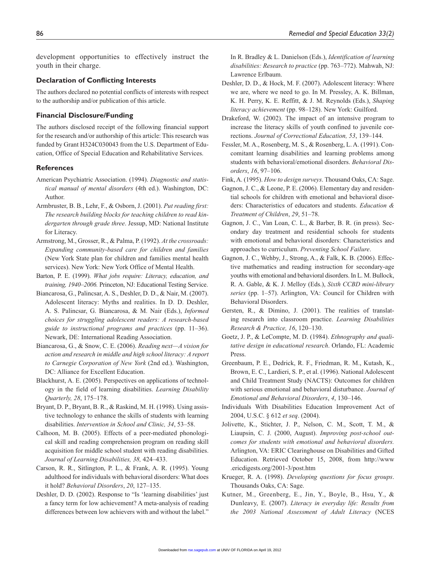development opportunities to effectively instruct the youth in their charge.

#### **Declaration of Conflicting Interests**

The authors declared no potential conflicts of interests with respect to the authorship and/or publication of this article.

#### **Financial Disclosure/Funding**

The authors disclosed receipt of the following financial support for the research and/or authorship of this article: This research was funded by Grant H324C030043 from the U.S. Department of Education, Office of Special Education and Rehabilitative Services.

#### **References**

- American Psychiatric Association. (1994). *Diagnostic and statistical manual of mental disorders* (4th ed.). Washington, DC: Author.
- Armbruster, B. B., Lehr, F., & Osborn, J. (2001). *Put reading first: The research building blocks for teaching children to read kindergarten through grade three*. Jessup, MD: National Institute for Literacy.
- Armstrong, M., Grosser, R., & Palma, P. (1992). *At the crossroads: Expanding community-based care for children and families*  (New York State plan for children and families mental health services). New York: New York Office of Mental Health.
- Barton, P. E. (1999). *What jobs require: Literacy, education, and training, 1940–2006.* Princeton, NJ: Educational Testing Service.
- Biancarosa, G., Palincsar, A. S., Deshler, D. D., & Nair, M. (2007). Adolescent literacy: Myths and realities. In D. D. Deshler, A. S. Palincsar, G. Biancarosa, & M. Nair (Eds.), *Informed choices for struggling adolescent readers: A research-based guide to instructional programs and practices* (pp. 11–36). Newark, DE: International Reading Association.
- Biancarosa, G., & Snow, C. E. (2006). *Reading next—A vision for action and research in middle and high school literacy: A report to Carnegie Corporation of New York* (2nd ed.). Washington, DC: Alliance for Excellent Education.
- Blackhurst, A. E. (2005). Perspectives on applications of technology in the field of learning disabilities. *Learning Disability Quarterly, 28*, 175–178.
- Bryant, D. P., Bryant, B. R., & Raskind, M. H. (1998). Using assistive technology to enhance the skills of students with learning disabilities. *Intervention in School and Clinic, 34*, 53–58.
- Calhoon, M. B. (2005). Effects of a peer-mediated phonological skill and reading comprehension program on reading skill acquisition for middle school student with reading disabilities. *Journal of Learning Disabilities, 38,* 424–433.
- Carson, R. R., Sitlington, P. L., & Frank, A. R. (1995). Young adulthood for individuals with behavioral disorders: What does it hold? *Behavioral Disorders*, *20*, 127–135.
- Deshler, D. D. (2002). Response to "Is 'learning disabilities' just a fancy term for low achievement? A meta-analysis of reading differences between low achievers with and without the label."

In R. Bradley & L. Danielson (Eds.), *Identification of learning disabilities: Research to practice* (pp. 763–772). Mahwah, NJ: Lawrence Erlbaum.

- Deshler, D. D., & Hock, M. F. (2007). Adolescent literacy: Where we are, where we need to go. In M. Pressley, A. K. Billman, K. H. Perry, K. E. Reffitt, & J. M. Reynolds (Eds.), *Shaping literacy achievement* (pp. 98–128). New York: Guilford.
- Drakeford, W. (2002). The impact of an intensive program to increase the literacy skills of youth confined to juvenile corrections. *Journal of Correctional Education, 53*, 139–144.
- Fessler, M. A., Rosenberg, M. S., & Rosenberg, L. A. (1991). Concomitant learning disabilities and learning problems among students with behavioral/emotional disorders. *Behavioral Disorders*, *16*, 97–106.

Fink, A. (1995). *How to design surveys*. Thousand Oaks, CA: Sage.

- Gagnon, J. C., & Leone, P. E. (2006). Elementary day and residential schools for children with emotional and behavioral disorders: Characteristics of educators and students. *Education & Treatment of Children*, *29*, 51–78.
- Gagnon, J. C., Van Loan, C. L., & Barber, B. R. (in press). Secondary day treatment and residential schools for students with emotional and behavioral disorders: Characteristics and approaches to curriculum. *Preventing School Failure*.
- Gagnon, J. C., Wehby, J., Strong, A., & Falk, K. B. (2006). Effective mathematics and reading instruction for secondary-age youths with emotional and behavioral disorders. In L. M. Bullock, R. A. Gable, & K. J. Melloy (Eds.), *Sixth CCBD mini-library series* (pp. 1–57). Arlington, VA: Council for Children with Behavioral Disorders.
- Gersten, R., & Dimino, J. (2001). The realities of translating research into classroom practice. *Learning Disabilities Research & Practice, 16*, 120–130.
- Goetz, J. P., & LeCompte, M. D. (1984). *Ethnography and qualitative design in educational research*. Orlando, FL: Academic Press.
- Greenbaum, P. E., Dedrick, R. F., Friedman, R. M., Kutash, K., Brown, E. C., Lardieri, S. P., et al. (1996). National Adolescent and Child Treatment Study (NACTS): Outcomes for children with serious emotional and behavioral disturbance. *Journal of Emotional and Behavioral Disorders*, *4*, 130–146.
- Individuals With Disabilities Education Improvement Act of 2004, U.S.C. § 612 *et seq*. (2004).
- Jolivette, K., Stichter, J. P., Nelson, C. M., Scott, T. M., & Liaupsin, C. J. (2000, August). *Improving post-school outcomes for students with emotional and behavioral disorders.* Arlington, VA: ERIC Clearinghouse on Disabilities and Gifted Education. Retrieved October 15, 2008, from http://www .ericdigests.org/2001-3/post.htm
- Krueger, R. A. (1998). *Developing questions for focus groups*. Thousands Oaks, CA: Sage.
- Kutner, M., Greenberg, E., Jin, Y., Boyle, B., Hsu, Y., & Dunleavy, E. (2007). *Literacy in everyday life: Results from the 2003 National Assessment of Adult Literacy* (NCES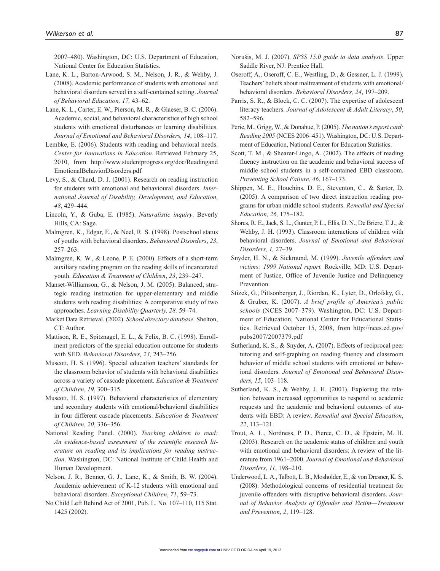2007–480). Washington, DC: U.S. Department of Education, National Center for Education Statistics.

- Lane, K. L., Barton-Arwood, S. M., Nelson, J. R., & Wehby, J. (2008). Academic performance of students with emotional and behavioral disorders served in a self-contained setting. *Journal of Behavioral Education, 17,* 43–62.
- Lane, K. L., Carter, E. W., Pierson, M. R., & Glaeser, B. C. (2006). Academic, social, and behavioral characteristics of high school students with emotional disturbances or learning disabilities. *Journal of Emotional and Behavioral Disorders, 14*, 108–117.
- Lembke, E. (2006). Students with reading and behavioral needs. *Center for Innovations in Education.* Retrieved February 25, 2010, from http://www.studentprogress.org/doc/Readingand EmotionalBehaviorDisorders.pdf
- Levy, S., & Chard, D. J. (2001). Research on reading instruction for students with emotional and behavioural disorders. *International Journal of Disability, Development, and Education*, *48*, 429–444.
- Lincoln, Y., & Guba, E. (1985). *Naturalistic inquiry*. Beverly Hills, CA: Sage.
- Malmgren, K., Edgar, E., & Neel, R. S. (1998). Postschool status of youths with behavioral disorders. *Behavioral Disorders*, *23*, 257–263.
- Malmgren, K. W., & Leone, P. E. (2000). Effects of a short-term auxiliary reading program on the reading skills of incarcerated youth. *Education & Treatment of Children*, *23*, 239–247.
- Manset-Williamson, G., & Nelson, J. M. (2005). Balanced, strategic reading instruction for upper-elementary and middle students with reading disabilities: A comparative study of two approaches. *Learning Disability Quarterly, 28,* 59–74.
- Market Data Retrieval. (2002). *School directory database.* Shelton, CT: Author.
- Mattison, R. E., Spitznagel, E. L., & Felix, B. C. (1998). Enrollment predictors of the special education outcome for students with SED. *Behavioral Disorders, 23,* 243–256.
- Muscott, H. S. (1996). Special education teachers' standards for the classroom behavior of students with behavioral disabilities across a variety of cascade placement. *Education & Treatment of Children*, *19*, 300–315.
- Muscott, H. S. (1997). Behavioral characteristics of elementary and secondary students with emotional/behavioral disabilities in four different cascade placements. *Education & Treatment of Children*, *20*, 336–356.
- National Reading Panel. (2000). *Teaching children to read: An evidence-based assessment of the scientific research literature on reading and its implications for reading instruction*. Washington, DC: National Institute of Child Health and Human Development.
- Nelson, J. R., Benner, G. J., Lane, K., & Smith, B. W. (2004). Academic achievement of K-12 students with emotional and behavioral disorders. *Exceptional Children*, *71*, 59–73.
- No Child Left Behind Act of 2001, Pub. L. No. 107–110, 115 Stat. 1425 (2002).
- Norušis, M. J. (2007). *SPSS 15.0 guide to data analysis*. Upper Saddle River, NJ: Prentice Hall.
- Oseroff, A., Oseroff, C. E., Westling, D., & Gessner, L. J. (1999). Teachers' beliefs about maltreatment of students with emotional/ behavioral disorders. *Behavioral Disorders, 24*, 197–209.
- Parris, S. R., & Block, C. C. (2007). The expertise of adolescent literacy teachers. *Journal of Adolescent & Adult Literacy*, *50*, 582–596.
- Perie, M., Grigg, W., & Donahue, P. (2005). *The nation's report card: Reading 2005* (NCES 2006–451). Washington, DC: U.S. Department of Education, National Center for Education Statistics.
- Scott, T. M., & Shearer-Lingo, A. (2002). The effects of reading fluency instruction on the academic and behavioral success of middle school students in a self-contained EBD classroom. *Preventing School Failure*, *46*, 167–173.
- Shippen, M. E., Houchins, D. E., Steventon, C., & Sartor, D. (2005). A comparison of two direct instruction reading programs for urban middle school students. *Remedial and Special Education, 26,* 175–182.
- Shores, R. E., Jack, S. L., Gunter, P. L., Ellis, D. N., De Briere, T. J., & Wehby, J. H. (1993). Classroom interactions of children with behavioral disorders. *Journal of Emotional and Behavioral Disorders, 1,* 27–39.
- Snyder, H. N., & Sickmund, M. (1999). *Juvenile offenders and victims: 1999 National report.* Rockville, MD: U.S. Department of Justice, Office of Juvenile Justice and Delinquency Prevention.
- Stizek, G., Pittsonberger, J., Riordan, K., Lyter, D., Orlofsky, G., & Gruber, K. (2007). *A brief profile of America's public schools* (NCES 2007–379). Washington, DC: U.S. Department of Education, National Center for Educational Statistics. Retrieved October 15, 2008, from http://nces.ed.gov/ pubs2007/2007379.pdf
- Sutherland, K. S., & Snyder, A. (2007). Effects of reciprocal peer tutoring and self-graphing on reading fluency and classroom behavior of middle school students with emotional or behavioral disorders. *Journal of Emotional and Behavioral Disorders*, *15*, 103–118.
- Sutherland, K. S., & Wehby, J. H. (2001). Exploring the relation between increased opportunities to respond to academic requests and the academic and behavioral outcomes of students with EBD: A review. *Remedial and Special Education*, *22*, 113–121.
- Trout, A. L., Nordness, P. D., Pierce, C. D., & Epstein, M. H. (2003). Research on the academic status of children and youth with emotional and behavioral disorders: A review of the literature from 1961–2000. *Journal of Emotional and Behavioral Disorders*, *11*, 198–210.
- Underwood, L. A., Talbott, L. B., Mosholder, E., & von Dresner, K. S. (2008). Methodological concerns of residential treatment for juvenile offenders with disruptive behavioral disorders. *Journal of Behavior Analysis of Offender and Victim—Treatment and Prevention*, *2*, 119–128.